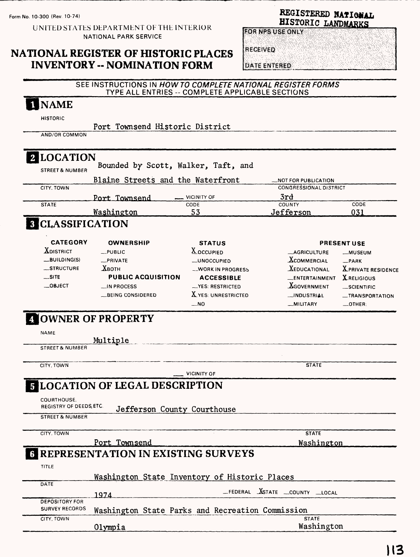Form No. 10-300 (Rev. 10-74)

### UNITED STATES DEPARTMENT OF THE INTERIOR NATIONAL PARK SERVICE

# NATIONAL REGISTER OF HISTORIC PLACES INVENTORY -- NOMINATION FORM

| REGISTERED NATIONAL |  |
|---------------------|--|
| HISTORIC LANDMARKS  |  |

RECEIVED

DATE ENTERED

|                                                | SEE INSTRUCTIONS IN HOW TO COMPLETE NATIONAL REGISTER FORMS<br>TYPE ALL ENTRIES -- COMPLETE APPLICABLE SECTIONS |                       |                                      |                           |
|------------------------------------------------|-----------------------------------------------------------------------------------------------------------------|-----------------------|--------------------------------------|---------------------------|
| <b>I</b> NAME                                  |                                                                                                                 |                       |                                      |                           |
| <b>HISTORIC</b>                                |                                                                                                                 |                       |                                      |                           |
| AND/OR COMMON                                  | Port Townsend Historic District                                                                                 |                       |                                      |                           |
|                                                |                                                                                                                 |                       |                                      |                           |
| 2 LOCATION                                     |                                                                                                                 |                       |                                      |                           |
| <b>STREET &amp; NUMBER</b>                     | Bounded by Scott, Walker, Taft, and                                                                             |                       |                                      |                           |
|                                                | Blaine Streets and the Waterfront                                                                               |                       | <b>_NOT FOR PUBLICATION</b>          |                           |
| CITY, TOWN                                     | Port Townsend                                                                                                   | <b>VICINITY OF</b>    | <b>CONGRESSIONAL DISTRICT</b><br>3rd |                           |
| <b>STATE</b>                                   |                                                                                                                 | CODE                  | COUNTY                               | CODE                      |
|                                                | <u>Washington</u>                                                                                               | 53                    | Jefferson                            | 031                       |
| <b>3 CLASSIFICATION</b>                        |                                                                                                                 |                       |                                      |                           |
| <b>CATEGORY</b>                                | <b>OWNERSHIP</b>                                                                                                | <b>STATUS</b>         |                                      | <b>PRESENT USE</b>        |
| <b>XDISTRICT</b>                               | _PUBLIC                                                                                                         | <b>X</b> OCCUPIED     | <b>_AGRICULTURE</b>                  |                           |
| __BUILDING(S)                                  | _PRIVATE                                                                                                        | <b>__UNOCCUPIED</b>   | $\Lambda$ commercial                 | -PARK                     |
| _STRUCTURE                                     | $\chi_{\rm BOH}$                                                                                                | -WORK IN PROGRESS     | <b>XEDUCATIONAL</b>                  | <b>XPRIVATE RESIDENCE</b> |
| $\sim$ SITE                                    | <b>PUBLIC ACQUISITION</b>                                                                                       | <b>ACCESSIBLE</b>     | _ENTERTAINMENT                       | <b>X</b> RELIGIOUS        |
| $\equiv$ OBJECT                                | $\Box$ IN PROCESS                                                                                               | -YES: RESTRICTED      | <b>AGOVERNMENT</b>                   | <b>__SCIENTIFIC</b>       |
|                                                | <b>LBEING CONSIDERED</b>                                                                                        | $X$ yes: UNRESTRICTED | __INDUSTRIAL                         | _TRANSPORTATION           |
|                                                |                                                                                                                 | __NO                  | __MILITARY                           | $\_$ OTHER:               |
| <b>A OWNER OF PROPERTY</b>                     |                                                                                                                 |                       |                                      |                           |
| <b>NAME</b>                                    |                                                                                                                 |                       |                                      |                           |
|                                                | Multiple                                                                                                        |                       |                                      |                           |
| <b>STREET &amp; NUMBER</b>                     |                                                                                                                 |                       |                                      |                           |
| CITY, TOWN                                     |                                                                                                                 |                       | <b>STATE</b>                         |                           |
|                                                |                                                                                                                 | <b>VICINITY OF</b>    |                                      |                           |
|                                                | <b>5 LOCATION OF LEGAL DESCRIPTION</b>                                                                          |                       |                                      |                           |
| COURTHOUSE,                                    |                                                                                                                 |                       |                                      |                           |
| REGISTRY OF DEEDS, ETC.                        | Jefferson County Courthouse                                                                                     |                       |                                      |                           |
| <b>STREET &amp; NUMBER</b>                     |                                                                                                                 |                       |                                      |                           |
| CITY, TOWN                                     |                                                                                                                 |                       | <b>STATE</b>                         |                           |
|                                                | Port Townsend                                                                                                   |                       | Washington                           |                           |
|                                                | <b>REPRESENTATION IN EXISTING SURVEYS</b>                                                                       |                       |                                      |                           |
| TITLE                                          |                                                                                                                 |                       |                                      |                           |
| DATE                                           | Washington State Inventory of Historic Places                                                                   |                       |                                      |                           |
|                                                | 1974                                                                                                            |                       | _FEDERAL XSTATE _COUNTY _LOCAL       |                           |
| <b>DEPOSITORY FOR</b><br><b>SURVEY RECORDS</b> |                                                                                                                 |                       |                                      |                           |
| CITY, TOWN                                     | Washington State Parks and Recreation Commission                                                                |                       | <b>STATE</b>                         |                           |
|                                                | Olympia                                                                                                         |                       | Washington                           |                           |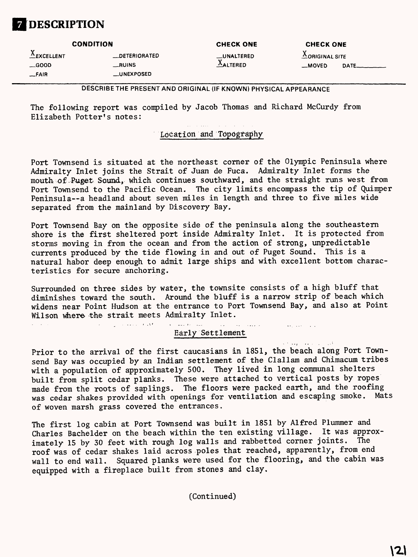# **DESCRIPTION**

#### **CONDITION CHECK ONE CONDITION** CHECK ONE CHECK ONE

AEXCELLENT —DETERIORATED \_UNALTERED AORIGINALSITE \_FAIR \_UNEXPOSED

 $\mathcal{L}^{\text{max}}(\mathcal{L}^{\text{max}})$  , where  $\mathcal{L}^{\text{max}}$ 

\_GOOD —RUINS FALTERED \_MOVED DATE\_\_\_\_\_

### DESCRIBE THE PRESENT AND ORIGINAL (IF KNOWN) PHYSICAL APPEARANCE

The following report was compiled by Jacob Thomas and Richard McCurdy from Elizabeth Potter's notes:

### Location and Topography

Port Townsend is situated at the northeast corner of the Olympic Peninsula where Admiralty Inlet joins the Strait of Juan de Fuca. Admiralty Inlet forms the mouth of .Puget Sound, which continues southward, and the straight runs west from Port Townsend to the Pacific Ocean. The city limits encompass the tip of Quimper Peninsula--a headland about seven miles in length and three to five miles wide separated from the mainland by Discovery Bay.

Port Townsend Bay on the opposite side of the peninsula along the southeastern shore is the first sheltered port inside Admiralty Inlet. It is protected from storms moving in from the ocean and from the action of strong, unpredictable currents produced by the tide flowing in and out of Puget Sound. This is a natural habor deep enough to admit large ships and with excellent bottom characteristics for secure anchoring.

Surrounded on three sides by water, the townsite consists of a high bluff that diminishes toward the south. Around the bluff is a narrow strip of beach which widens near Point Hudson at the entrance to Port Townsend Bay, and also at Point Wilson where the strait meets Admiralty Inlet.

الكافئين التبار Early Settlement

 $\mathcal{L}_{\mathcal{A}}$ 

**Avenue Communication** 

 $\mathbf{v}^{(1)}$  ,  $\mathbf{v}_1^{(1)}$  ,  $\mathbf{v}_2^{(2)}$  ,  $\mathbf{v}_3^{(3)}$  ,  $\mathbf{v}_4^{(4)}$ Prior to the arrival of the first Caucasians in 1851, the beach along Port Townsend Bay was occupied by an Indian settlement of the Clallam and Chimacum tribes with a population of approximately 500. They lived in long communal shelters built from split cedar planks. These were attached to vertical posts by ropes made from the roots of saplings. The floors were packed earth, and the roofing was cedar shakes provided with openings for ventilation and escaping smoke. Mats of woven marsh grass covered the entrances.

The first log cabin at Port Townsend was built in 1851 by Alfred Plummer and Charles Bachelder on the beach within the ten existing village. It was approximately 15 by 30 feet with rough log walls and rabbetted corner joints. The roof was of cedar shakes laid across poles that reached, apparently, from end wall to end wall. Squared planks were used for the flooring, and the cabin was equipped with a fireplace built from stones and clay.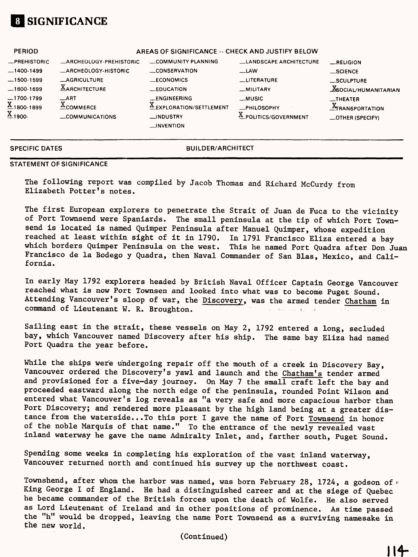

| <b>PERIOD</b>                                                    |                                                         | AREAS OF SIGNIFICANCE -- CHECK AND JUSTIFY BELOW                            |                                                 |                                                                |
|------------------------------------------------------------------|---------------------------------------------------------|-----------------------------------------------------------------------------|-------------------------------------------------|----------------------------------------------------------------|
| -PREHISTORIC                                                     | _ARCHEOLOGY-PREHISTORIC                                 | COMMUNITY PLANNING                                                          | LLANDSCAPE ARCHITECTURE                         | RELIGION                                                       |
| -1400-1499                                                       | <b>_ARCHEOLOGY-HISTORIC</b>                             | CONSERVATION                                                                | $-LAW$                                          | __SCIENCE                                                      |
| $-1500-1599$                                                     | <b>AGRICULTURE</b>                                      | $\_ECONOMICS$                                                               | LITERATURE                                      | _SCULPTURE                                                     |
| $-1600-1699$                                                     | $\underline{X}$ ARCHITECTURE                            | _EDUCATION                                                                  | _MILITARY                                       | <b>X</b> SOCIAL/HUMANITARIAN                                   |
| $\underline{\text{X}}$ 1800-1899<br>$\underline{\text{X}}$ 1900- | $\_$ ART<br>v<br>$\triangle$ COMMERCE<br>COMMUNICATIONS | __ENGINEERING<br>EXPLORATION/SETTLEMENT<br>__INDUSTRY<br>$\equiv$ INVENTION | __MUSIC<br>-PHILOSOPHY<br>A POLITICS/GOVERNMENT | <b>__THEATER</b><br><b>ATRANSPORTATION</b><br>_OTHER (SPECIFY) |

**SPECIFIC DATES BUILDER/ARCHITECT** 

#### **STATEMENT OF SIGNIFICANCE**

The following report was compiled by Jacob Thomas and Richard McCurdy from Elizabeth Potter's notes.

The first European explorers to penetrate the Strait of Juan de Fuca to the vicinity of Port Townsend were Spaniards. The small peninsula at the tip of which Port Townsend is located is named Quimper Peninsula after Manuel Quimper, whose expedition reached at least within sight of it in 1790. In 1791 Francisco Eliza entered a bay which borders Quimper Peninsula on the west. This he named Port Quadra after Don Juan Francisco de la Bodego y Quadra, then Naval Commander of San Bias, Mexico, and California.

In early May 1792 explorers headed by British Naval Officer Captain George Vancouver reached what is now Port Townsen and looked into what was to become Puget Sound. Attending Vancouver's sloop of war, the Discovery, was the armed tender Chatham in command of Lieutenant W. R. Broughton.

Sailing east in the strait, these vessels on May 2, 1792 entered a long, secluded bay, which Vancouver named Discovery after his ship. The same bay Eliza had named Port Quadra the year before.

While the ships were undergoing repair off the mouth of a creek in Discovery Bay, Vancouver ordered the Discovery's yawl and launch and the Chatham's tender armed and provisioned for a five-day journey. On May 7 the small craft left the bay and proceeded eastward along the north edge of the peninsula, rounded Point Wilson and entered what Vancouver's log reveals as "a very safe and more capacious harbor than Port Discovery; and rendered more pleasant by the high land being at a greater distance from the waterside... To this port I gave the name of Port Townsend in honor of the noble Marquis of that name." To the entrance of the newly revealed vast inland waterway he gave the name Admiralty Inlet, and, farther south, Puget Sound.

Spending some weeks in completing his exploration of the vast inland waterway, Vancouver returned north and continued his survey up the northwest coast.

Townshend, after whom the harbor was named, was born February 28, 1724, a godson of  $\nu$ King George I of England. He had a distinguished career and at the siege of Quebec he became commander of the British forces upon the death of Wolfe. He also served as Lord Lieutenant of Ireland and in other positions of prominence. As time passed the "h" would be dropped, leaving the name Port Townsend as a surviving namesake in the new world.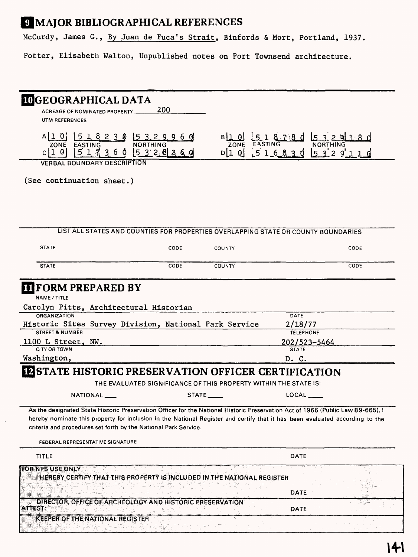# **9 MAJOR BIBLIOGRAPHICAL REFERENCES**

T Story<br>1

Capture March 19

Special State

McCurdy, James G., By Juan de Fuca's Strait, Binfords & Mort, Portland, 1937.

Potter, Elisabeth Walton, Unpublished notes on Port Townsend architecture.

| <b>IDGEOGRAPHICAL DATA</b>                                                                                                                                                                         |                 |                                                                                    |                                                                                                                              |
|----------------------------------------------------------------------------------------------------------------------------------------------------------------------------------------------------|-----------------|------------------------------------------------------------------------------------|------------------------------------------------------------------------------------------------------------------------------|
| ACREAGE OF NOMINATED PROPERTY ____                                                                                                                                                                 | 200             |                                                                                    |                                                                                                                              |
| UTM REFERENCES                                                                                                                                                                                     |                 |                                                                                    |                                                                                                                              |
| A[1 0] [5 1 8 2 3 0 5 3 2 9 9 6 0]                                                                                                                                                                 |                 |                                                                                    |                                                                                                                              |
| ZONE EASTING                                                                                                                                                                                       | <b>NORTHING</b> |                                                                                    | $B(1, 0)$ 5 1 8 7 8 d 5 3 2 9                                                                                                |
| $c 1$ 0 $5$ 1 7 3 6 0 $5$ 3 2 8 2 6 0                                                                                                                                                              |                 |                                                                                    | D[1 0 1 5 1 6 8 3 0 5 3 2 9 1 1 0                                                                                            |
| <b>VERBAL BOUNDARY DESCRIPTION</b>                                                                                                                                                                 |                 |                                                                                    |                                                                                                                              |
| (See continuation sheet.)                                                                                                                                                                          |                 |                                                                                    |                                                                                                                              |
|                                                                                                                                                                                                    |                 |                                                                                    |                                                                                                                              |
|                                                                                                                                                                                                    |                 | LIST ALL STATES AND COUNTIES FOR PROPERTIES OVERLAPPING STATE OR COUNTY BOUNDARIES |                                                                                                                              |
| <b>STATE</b>                                                                                                                                                                                       | CODE            | <b>COUNTY</b>                                                                      | CODE                                                                                                                         |
| <b>STATE</b>                                                                                                                                                                                       | CODE            | <b>COUNTY</b>                                                                      | CODE                                                                                                                         |
| <b>II FORM PREPARED BY</b><br>NAME / TITLE                                                                                                                                                         |                 |                                                                                    |                                                                                                                              |
| Carolyn Pitts, Architectural Historian                                                                                                                                                             |                 |                                                                                    |                                                                                                                              |
| ORGANIZATION                                                                                                                                                                                       |                 |                                                                                    | DATE                                                                                                                         |
| Historic Sites Survey Division, National Park Service<br><b>STREET &amp; NUMBER</b>                                                                                                                |                 |                                                                                    | 2/18/77<br><b>TELEPHONE</b>                                                                                                  |
| 1100 L Street, NW.                                                                                                                                                                                 |                 |                                                                                    | 202/523-5464                                                                                                                 |
| <b>CITY OR TOWN</b>                                                                                                                                                                                |                 |                                                                                    | <b>STATE</b>                                                                                                                 |
| Washington,                                                                                                                                                                                        |                 |                                                                                    | D. C.                                                                                                                        |
| <b>IN STATE HISTORIC PRESERVATION OFFICER CERTIFICATION</b>                                                                                                                                        |                 |                                                                                    |                                                                                                                              |
|                                                                                                                                                                                                    |                 | THE EVALUATED SIGNIFICANCE OF THIS PROPERTY WITHIN THE STATE IS:                   |                                                                                                                              |
| NATIONAL ___                                                                                                                                                                                       |                 | $STATE$ <sub>_____</sub>                                                           | LOCAL_____                                                                                                                   |
| As the designated State Historic Preservation Officer for the National Historic Preservation Act of 1966 (Public Law 89-665). I<br>criteria and procedures set forth by the National Park Service. |                 |                                                                                    | hereby nominate this property for inclusion in the National Register and certify that it has been evaluated according to the |
| FEDERAL REPRESENTATIVE SIGNATURE                                                                                                                                                                   |                 |                                                                                    |                                                                                                                              |
| TITLE                                                                                                                                                                                              |                 |                                                                                    | <b>DATE</b>                                                                                                                  |
| <b>FOR NPS USE ONLY</b><br>I HEREBY CERTIFY THAT THIS PROPERTY IS INCLUDED IN THE NATIONAL REGISTER                                                                                                |                 |                                                                                    |                                                                                                                              |
|                                                                                                                                                                                                    |                 |                                                                                    |                                                                                                                              |
|                                                                                                                                                                                                    |                 |                                                                                    | DATE                                                                                                                         |
| DIRECTOR, OFFICE OF ARCHEOLOGY AND HISTORIC PRESERVATION<br><b>ATTEST:</b>                                                                                                                         |                 |                                                                                    | DATE                                                                                                                         |
| <b>KEEPER OF THE NATIONAL REGISTER</b>                                                                                                                                                             |                 |                                                                                    |                                                                                                                              |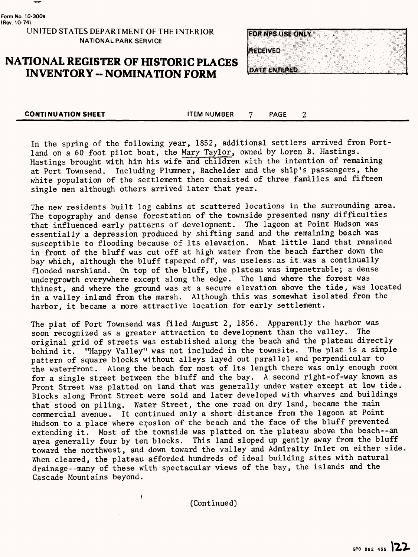

**Form No. 10-300a (Rev. 10-74)**

### **UNITED STATES DEPARTMENT OF THE INTERIOR NATIONAL PARK SERVICE**

## **NATIONAL REGISTER OF HISTORIC PLACES INVENTORY -- NOMINATION FORM**



 $\overline{2}$ 

**CONTINUATION SHEET CONTINUATION SHEET** 

In the spring of the following year, 1852, additional settlers arrived from Portland on a 60 foot pilot boat, the Mary Taylor, owned by Loren B. Hastings. Hastings brought with him his wife and children with the intention of remaining at Port Townsend. Including Plummer, Bachelder and the ship's passengers, the white population of the settlement then consisted of three families and fifteen single men although others arrived later that year.

The new residents built log cabins at scattered locations in the surrounding area. The topography and dense forestation of the townside presented many difficulties that influenced early patterns of development. The lagoon at Point Hudson was essentially a depression produced by shifting sand and the remaining beach was susceptible to flooding because of its elevation. What little land that remained in front of the bluff was cut off at high water from the beach farther down the bay which, although the bluff tapered off, was useless.as it.was a continually flooded marshland. On top of the bluff, the plateau was impenetrable; a dense undergrowth everywhere except along the edge. The land where the forest was thinest, and where the ground was at a secure elevation above the tide, was located in a valley inland from the marsh. Although this was somewhat isolated from the harbor, it became a more attractive location for early settlement.

The plat of Port Townsend was filed August 2, 1856. Apparently the harbor was soon recognized as a greater attraction to development than the valley. The original grid of streets was established along the beach and the plateau directly behind it. "Happy Valley" was not included in the townsite. The plat is a simple pattern of square blocks without alleys layed out parallel and perpendicular to the waterfront. Along the beach for most of its length there was only enough room for a single street between the bluff and the bay. A second right-of-way known as Front Street was platted on land that was generally under water except at low tide. Blocks along Front Street were sold and later developed with wharves and buildings that stood on piling. Water Street, the one road on dry land, became the main commercial avenue. It continued only a short distance from the lagoon at Point Hudson to a place where erosion of the beach and the face of the bluff prevented extending it. Most of the townside was platted on the plateau above the beach--an area generally four by ten blocks. This land sloped up gently away from the bluff toward the northwest, and down toward the valley and Admiralty Inlet on either side When cleared, the plateau afforded hundreds of ideal building sites with natural drainage--many of these with spectacular views of the bay, the islands and the Cascade Mountains beyond.

(Continued)

\*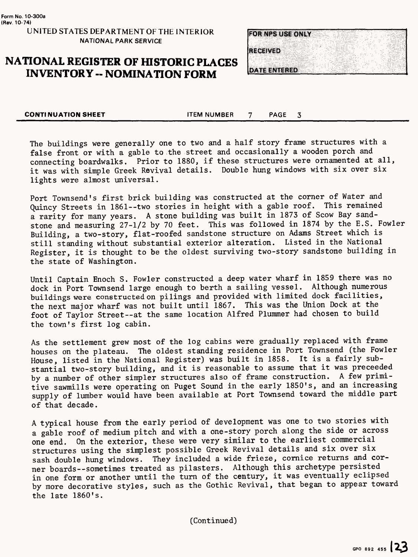# **NATIONAL REGISTER OF HISTORIC PLACES INVENTORY -- NOMINATION FORM**



**CONTINUATION SHEET 4 CONTINUATION SHEET 4 CONTINUATION** 

The buildings were generally one to two and a half story frame structures with a false front or with a gable to the street and occasionally a wooden porch and connecting boardwalks. Prior to 1880, if these structures were ornamented at all, it was with simple Greek Revival details. Double hung windows with six over six lights were almost universal.

Port Townsend's first brick building was constructed at the corner of Water and Quincy Streets in 1861--two stories in height with a gable roof. This remained a rarity for many years. A stone building was built in 1873 of Scow Bay sandstone and measuring 27-1/2 by 70 feet. This was followed in 1874 by the E.S. Fowler Building, a two-story, flat-roofed sandstone structure on Adams Street which is still standing without substantial exterior alteration. Listed in the National Register, it is thought to be the oldest surviving two-story sandstone building in the state of Washington.

Until Captain Enoch S. Fowler constructed a deep water wharf in 1859 there was no dock in Port Townsend large enough to berth a sailing vessel. Although numerous buildings were constructed on pilings and provided with limited dock facilities, the next major wharf was not built until 1867. This was the Union Dock at the foot of Taylor Street--at the same location Alfred Plummer had chosen to build the town's first log cabin.

As the settlement grew most of the log cabins were gradually replaced with frame houses on the plateau. The oldest standing residence in Port Townsend (the Fowler House, listed in the National Register) was built in 1858. It is a fairly substantial two-story building, and it is reasonable to assume that it was preceeded<br>by a number of other simpler structures also of frame construction. A few primiby a number of other simpler structures also of frame construction. tive sawmills were operating on Puget Sound in the early 1850's, and an increasing supply of lumber would have been available at Port Townsend toward the middle part of that decade.

A typical house from the early period of development was one to two stories with a gable roof of medium pitch and with a one-story porch along the side or across one end. On the exterior, these were very similar to the earliest commercial structures using the simplest possible Greek Revival details and six over six sash double hung windows. They included a wide frieze, cornice returns and corner boards--sometimes treated as pilasters. Although this archetype persisted in one form or another until the turn of the century, it was eventually eclipsed by more decorative styles, such as the Gothic Revival, that began to appear toward the late  $1860$ 's.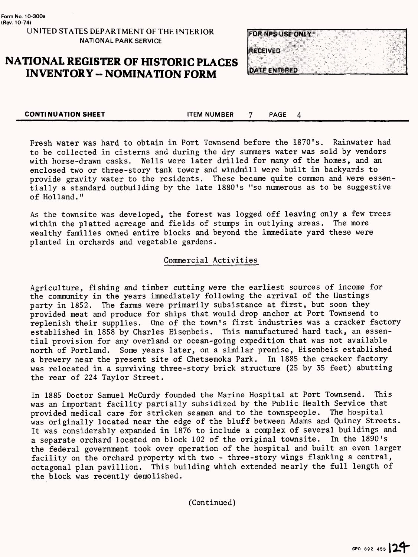# **NATIONAL REGISTER OF HISTORIC PLACES INVENTORY -- NOMINATION FORM**



**CONTINUATION SHEET** ITEM NUMBER 7 PAGE

4

Fresh water was hard to obtain in Port Townsend before the 1870's. Rainwater had to be collected in cisterns and during the dry summers water was sold by vendors with horse-drawn casks. Wells were later drilled for many of the homes, and an enclosed two or three-story tank tower and windmill were built in backyards to provide gravity water to the residents. These became quite common and were essentially a standard outbuilding by the late 1880's "so numerous as to be suggestive of Holland."

As the townsite was developed, the forest was logged off leaving only a few trees within the platted acreage and fields of stumps in outlying areas. The more within the platted acreage and fields of stumps in outlying areas. wealthy families owned entire blocks and beyond the immediate yard these were planted in orchards and vegetable gardens.

### Commercial Activities

Agriculture, fishing and timber cutting were the earliest sources of income for the community in the years immediately following the arrival of the Hastings party in 1852. The farms were primarily subsistance at first, but soon they provided meat and produce for ships that would drop anchor at Port Townsend to replenish their supplies. One of the town's first industries was a cracker factory established in 1858 by Charles Eisenbeis. This manufactured hard tack, an essential provision for any overland or ocean-going expedition that was not available north of Portland. Some years later, on a similar premise, Eisenbeis established a brewery near the present site of Chetsemoka Park. In 1885 the cracker factory was relocated in a surviving three-story brick structure (25 by 35 feet) abutting the rear of 224 Taylor Street.

In 1885 Doctor Samuel McCurdy founded the Marine Hospital at Port Townsend. This was an important facility partially subsidized by the Public Health Service that provided medical care for stricken seamen and to the townspeople. The hospital was originally located near the edge of the bluff between Adams and Quincy Streets. It was considerably expanded in 1876 to include a complex of several buildings and a separate orchard located on block 102 of the original townsite. In the 1890's the federal government took over operation of the hospital and built an even larger facility on the orchard property with two - three-story wings flanking a central, octagonal plan pavillion. This building which extended nearly the full length of the block was recently demolished.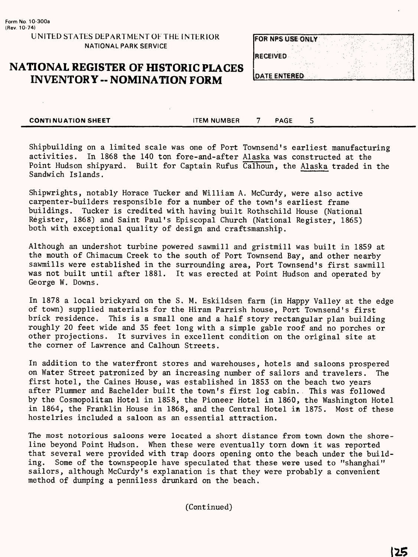# **NATIONAL REGISTER OF HISTORIC PLACES INVENTORY -- NOMINATION FORM**

| <b>FOR NPS USE ONLY</b> |  |  |
|-------------------------|--|--|
| <b>RECEIVED</b>         |  |  |
| DATE ENTERED            |  |  |

**CONTINUATION SHEET** FILL STONE TEM NUMBER TO PAGE 5

Shipbuilding on a limited scale was one of Port Townsend's earliest manufacturing activities. In 1868 the 140 ton fore-and-after Alaska was constructed at the Point Hudson shipyard. Built for Captain Rufus Calhoun, the Alaska traded in the Sandwich Islands.

Shipwrights, notably Horace Tucker and William A. McCurdy, were also active carpenter-builders responsible for a number of the town's earliest frame buildings. Tucker is credited with having built Rothschild House (National Register, 1868) and Saint Paul's Episcopal Church (National Register, 1865) both with exceptional quality of design and craftsmanship.

Although an undershot turbine powered sawmill and gristmill was built in 1859 at the mouth of Chimacum Creek to the south of Port Townsend Bay, and other nearby sawmills were established in the surrounding area, Port Townsend's first sawmill was not built until after 1881. It was erected at Point Hudson and operated by George W. Downs.

In 1878 a local brickyard on the S. M. Eskildsen farm (in Happy Valley at the edge of town) supplied materials for the Hiram Parrish house, Port Townsend's first brick residence. This is a small one and a half story rectangular plan building roughly 20 feet wide and 35 feet long with a simple gable roof and no porches or other projections. It survives in excellent condition on the original site at the corner of Lawrence and Calhoun Streets.

In addition to the waterfront stores and warehouses, hotels and saloons prospered on Water Street patronized by an increasing number of sailors and travelers. The first hotel, the Caines House, was established in 1853 on the beach two years after Plummer and Bachelder built the town's first log cabin.. This was followed by the Cosmopolitan Hotel in 1858, the Pioneer Hotel in 1860, the Washington Hotel in 1864, the Franklin House in 1868, and the Central Hotel in 1875. Most of these hostelries included a saloon as an essential attraction.

The most notorious saloons were located a short distance from town down the shoreline beyond Point Hudson. When these were eventually torn down it was reported that several were provided with trap doors opening onto the beach under the building. Some of the townspeople have speculated that these were used to "shanghai" sailors, although McCurdy's explanation is that they were probably a convenient method of dumping a penniless drunkard on the beach.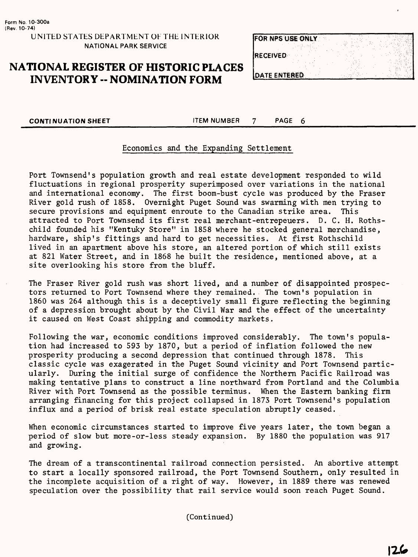# **NATIONAL REGISTER OF HISTORIC PLACES INVENTORY -- NOMINATION FORM**

| <b>FOR NPS USE ONLY</b> |  |
|-------------------------|--|
| <b>RECEIVED</b>         |  |
|                         |  |
| <b>DATE ENTERED</b>     |  |

**CONTINUATION SHEET CONTINUATION SHEET** 

### Economics and the Expanding Settlement

Port Townsend's population growth and real estate development responded to wild fluctuations in regional prosperity superimposed over variations in the national and international economy. The first boom-bust cycle was produced by the Fraser River gold rush of 1858. Overnight Puget Sound was swarming with men trying to secure provisions and equipment enroute to the Canadian strike area. This attracted to Port Townsend its first real merchant-entrepeuers. D. C. H. Rothschild founded his "Kentuky Store" in 1858 where he stocked general merchandise, hardware, ship's fittings and hard to get necessities. At first Rothschild lived in an apartment above his store, an altered portion of which still exists at 821 Water Street, and in 1868 he built the residence, mentioned above, at a site overlooking his store from the bluff.

The Fraser River gold rush was short lived, and a number of disappointed prospectors returned to Port Townsend where they remained. The town's population in 1860 was 264 although this is a deceptively small figure reflecting the beginning of a depression brought about by the Civil War and the effect of the uncertainty it caused on West Coast shipping and commodity markets.

Following the war, economic conditions improved considerably. The town's population had increased to 593 by 1870, but a period of inflation followed the new prosperity producing a second depression that continued through 1878. classic cycle was exagerated in the Puget Sound vicinity and Port Townsend particularly. During the initial surge of confidence the Northern Pacific Railroad was making tentative plans to construct a line northward from Portland and the Columbia River with Port Townsend as the possible terminus. When the Eastern banking firm arranging financing for this project collapsed in 1873 Port Townsend's population influx and a period of brisk real estate speculation abruptly ceased.

When economic circumstances started to improve five years later, the town began a period of slow but more-or-less steady expansion. By 1880 the population was 917 and growing.

The dream of a transcontinental railroad connection persisted. An abortive attempt to start a locally sponsored railroad, the Port Townsend Southern, only resulted in the incomplete acquisition of a right of way. However, in 1889 there was renewed speculation over the possibility that rail service would soon reach Puget Sound.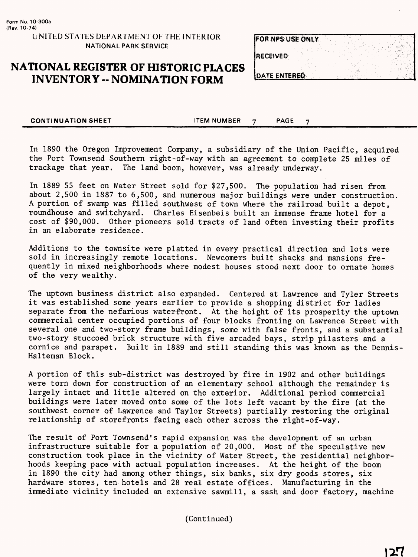# **NATIONAL REGISTER OF HISTORIC PLACES INVENTORY -- NOMINATION FORM**

| <b>FOR NPS USE ONLY</b> |  |  |
|-------------------------|--|--|
| <b>IRECEIVED</b>        |  |  |
| <b>DATE ENTERED</b>     |  |  |

**CONTINUATION SHEET** ITEM NUMBER 7 PAGE 7

In 1890 the Oregon Improvement Company, a subsidiary of the Union Pacific, acquired the Port Townsend Southern right-of-way with an agreement to complete 25 miles of<br>trackage that year. The land boom, however, was already underway. The land boom, however, was already underway.

In 1889 55 feet on Water Street sold for \$27,500. The population had risen from about 2,500 in 1887 to 6,500, and numerous major buildings were under construction. A portion of swamp was filled southwest of town where the railroad built a depot, roundhouse and switchyard. Charles Eisenbeis built an immense frame hotel for a cost of \$90,000. Other pioneers sold tracts of land often investing their profits in an elaborate residence.

Additions to the townsite were platted in every practical direction and lots were sold in increasingly remote locations. Newcomers built shacks and mansions frequently in mixed neighborhoods where modest houses stood next door to ornate homes of the very wealthy.

The uptown business district also expanded. Centered at Lawrence and Tyler Streets it was established some years earlier to provide a shopping district for ladies separate from the nefarious waterfront. At the height of its prosperity the uptown commercial center occupied portions of four blocks fronting on Lawrence Street with several one and two-story frame buildings, some with false fronts, and a substantial two-story stuccoed brick structure with five arcaded bays, strip pilasters and a cornice and parapet. Built in 1889 and still standing this was known as the Dennis-Halteman Block.

A portion of this sub-district was destroyed by fire in 1902 and other buildings were torn down for construction of an elementary school although the remainder is largely intact and little altered on the exterior. Additional period commercial buildings were later moved onto some of the lots left vacant by the fire (at the southwest corner of Lawrence and Taylor Streets) partially restoring the original relationship of storefronts facing each other across the right-of-way.

The result of Port Townsend's rapid expansion was the development of an urban infrastructure suitable for a population of 20,000. Most of the speculative new construction took place in the vicinity of Water Street, the residential neighborhoods keeping pace with actual population increases. At the height of the boom in 1890 the city had among other things, six banks, six dry goods stores, six hardware stores, ten hotels and 28 real estate offices. Manufacturing in the immediate vicinity included an extensive sawmill, a sash and door factory, machine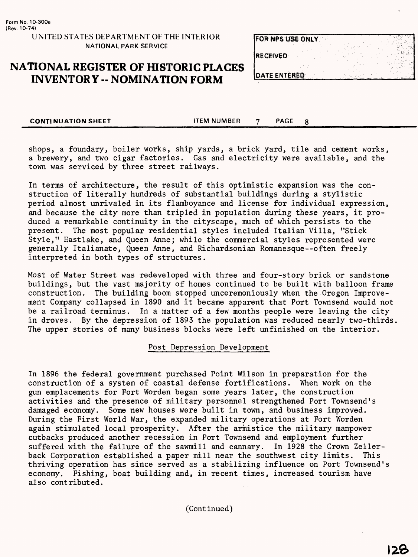## **NATIONAL REGISTER OF HISTORIC PLACES INVENTORY -- NOMINATION FORM**

| FOR NPS USE ONLY    |  |  |  |
|---------------------|--|--|--|
| <b>RECEIVED</b>     |  |  |  |
| <b>DATE ENTERED</b> |  |  |  |

8

**CONTINUATION SHEET THEM NUMBER 7 PAGE** 

shops, a foundary, boiler works, ship yards, a brick yard, tile and cement works, a brewery, and two cigar factories. Gas and electricity were available, and the town was serviced by three street railways.

In terms of architecture, the result of this optimistic expansion was the construction of literally hundreds of substantial buildings during a stylistic period almost unrivaled in its flamboyance and license for individual expression, and because the city more than tripled in population during these years, it produced a remarkable continuity in the cityscape, much of which persists to the present. The most popular residential styles included Italian Villa, "Stick Style," Eastlake, and Queen Anne; while the commercial styles represented were generally Italianate, Queen Anne, and Richardsonian Romanesque — often freely interpreted in both types of structures.

Most of Water Street was redeveloped with three and four-story brick or sandstone buildings, but the vast majority of homes continued to be built with balloon frame construction. The building boom stopped unceremoniously when the Oregon Improvement Company collapsed in 1890 and it became apparent that Port Townsend would not be a railroad terminus. In a matter of a few months people were leaving the city in droves. By the depression of 1893 the population was reduced nearly two-thirds The upper stories of many business blocks were left unfinished on the interior.

### Post Depression Development

In 1896 the federal government purchased Point Wilson in preparation for the construction of a system of coastal defense fortifications. When work on the gun emplacements for Fort Worden began some years later, the construction activities and the presence of military personnel strengthened Port Townsend's damaged economy. Some new houses were built in town, and business improved. During the First World War, the expanded military operations at Fort Worden again stimulated local prosperity. After the armistice the military manpower cutbacks produced another recession in Port Townsend and employment further suffered with the failure of the sawmill and cannary. In 1928 the Crown Zellerback Corporation established a paper mill near the southwest city limits. This thriving operation has since served as a stabilizing influence on Port Townsend 's economy. Fishing, boat building and, in recent times, increased tourism have also contributed.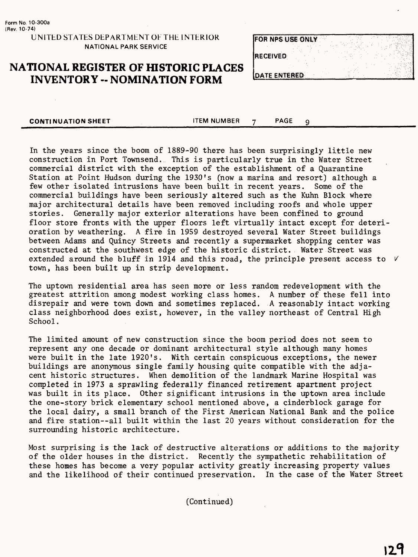# **NATIONAL REGISTER OF HISTORIC PLACES** INVENTORY -- NOMINATION FORM

| <b>FOR NPS USE ONLY</b> |  |  |  |
|-------------------------|--|--|--|
| <b>RECEIVED</b>         |  |  |  |
| DATE ENTERED            |  |  |  |

**CONTINUATION SHEET** ITEM NUMBER 7 PAGE 9

In the years since the boom of 1889-90 there has been surprisingly little new construction in Port Townsend. This is particularly true in the Water Street commercial district with the exception of the establishment of a Quarantine Station at Point Hudson during the 1930's (now a marina and resort) although a few other isolated intrusions have been built in recent years. Some of the commercial buildings have been seriously altered such as the Kuhn Block where major architectural details have been removed including roofs and whole upper stories. Generally major exterior alterations have been confined to ground floor store fronts with the upper floors left virtually intact except for deterioration by weathering. A fire in 1959 destroyed several Water Street buildings between Adams and Quincy Streets and recently a supermarket shopping center was constructed at the southwest edge of the historic district. Water Street was extended around the bluff in 1914 and this road, the principle present access to  $V$ town, has been built up in strip development.

The uptown residential area has seen more or less random redevelopment with the greatest attrition among modest working class homes. A number of these fell into disrepair and were town down and sometimes replaced. A reasonably intact working class neighborhood does exist, however, in the valley northeast of Central High School.

The limited amount of new construction since the boom period does not seem to represent any one decade or dominant architectural style although many homes were built in the late 1920's. With certain conspicuous exceptions, the newer buildings are anonymous single family housing quite compatible with the adjacent historic structures. When demolition of the landmark Marine Hospital was completed in 1973 a sprawling federally financed retirement apartment project was built in its place. Other significant intrusions in the uptown area include the one-story brick elementary school mentioned above, a cinderblock garage for the local dairy, a small branch of the First American National Bank and the police and fire station—all built within the last 20 years without consideration for the surrounding historic architecture.

Most surprising is the lack of destructive alterations or additions to the majority of the older houses in the district. Recently the sympathetic rehabilitation of these homes has become a very popular activity greatly increasing property values and the likelihood of their continued preservation. In the case of the Water Street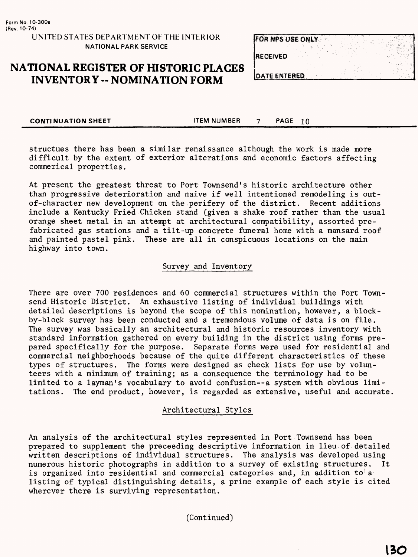# **NATIONAL REGISTER OF HISTORIC PLACES INVENTORY -- NOMINATION FORM**

| <b>FOR NPS USE ONLY</b> |  |  |
|-------------------------|--|--|
| <b>RECEIVED</b>         |  |  |
| <b>DATE ENTERED</b>     |  |  |

**CONTINUATION SHEET THEM NUMBER 7 PAGE 10** 

structues there has been a similar renaissance although the work is made more difficult by the extent of exterior alterations and economic factors affecting commerical properties.

At present the greatest threat to Port Townsend's historic architecture other than progressive deterioration and naive if well intentioned remodeling is outof-character new development on the perifery of the district. Recent additions include a Kentucky Fried Chicken stand (given a shake roof rather than the usual orange sheet metal in an attempt at architectural compatibility, assorted prefabricated gas stations and a tilt-up concrete funeral home with a mansard roof and painted pastel pink. These are all in conspicuous locations on the main highway into town.

### Survey and Inventory

There are over 700 residences and 60 commercial structures within the Port Townsend Historic District. An exhaustive listing of individual buildings with detailed descriptions is beyond the scope of this nomination, however, a blockby-block survey has been conducted and a tremendous volume of data is on file. The survey was basically an architectural and historic resources inventory with standard information gathered on every building in the district using forms prepared specifically for the purpose. Separate forms were used for residential and commercial neighborhoods because of the quite different characteristics of these types of structures. The forms were designed as check lists for use by volunteers with a minimum of training; as a consequence the terminology had to be limited to a layman's vocabulary to avoid confusion—a system with obvious limitations. The end product, however, is regarded as extensive, useful and accurate.

### Architectural Styles

An analysis of the architectural styles represented in Port Townsend has been prepared to supplement the preceeding descriptive information in lieu of detailed written descriptions of individual structures. The analysis was developed using numerous historic photographs in addition to a survey of existing structures. It is organized into residential and commercial categories and, in addition to a listing of typical distinguishing details, a prime example of each style is cited wherever there is surviving representation.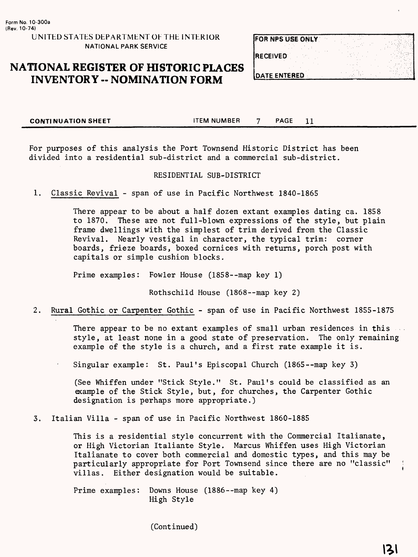# **NATIONAL REGISTER OF HISTORIC PLACES INVENTORY - NOMINATION FORM**

| FOR NPS USE ONLY     |  |
|----------------------|--|
| <b>RECEIVED</b>      |  |
| <b>IDATE ENTERED</b> |  |

**CONTINUATION SHEET** FILL FILM NUMBER 7 PAGE 11

For purposes of this analysis the Port Townsend Historic District has been divided into a residential sub-district and a commercial sub-district.

#### RESIDENTIAL SUB-DISTRICT

1. Classic Revival - span of use in Pacific Northwest 1840-1865

There appear to be about a half dozen extant examples dating ca. 1858 to 1870. These are not full-blown expressions of the style, but plain frame dwellings with the simplest of trim derived from the Classic Revival. Nearly vestigal in character, the typical trim: corner boards, frieze boards, boxed cornices with returns, porch post with capitals or simple cushion blocks.

Prime examples: Fowler House (1858--map key 1)

Rothschild House (1868--map key 2)

2. Rural Gothic or Carpenter Gothic - span of use in Pacific Northwest 1855-1875

There appear to be no extant examples of small urban residences in this style, at least none in a good state of preservation. The only remaining example of the style is a church, and a first rate example it is.

Singular example: St. Paul's Episcopal Church (1865--map key 3)

(See Whiffen under "Stick Style." St. Paul's could be classified as an example of the Stick Style, but, for churches, the Carpenter Gothic designation is perhaps more appropriate.)

3. Italian Villa - span of use in Pacific Northwest 1860-1885

This is a residential style concurrent with the Commercial Italianate, or High Victorian Italiante Style. Marcus Whiffen uses High Victorian Italianate to cover both commercial and domestic types, and this may be particularly appropriate for Port Townsend since there are no "classic" villas. Either designation would be suitable.

Prime examples: Downs House (1886--map key 4) High Style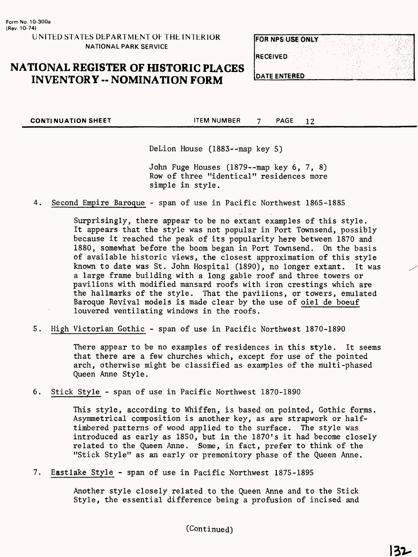# **NATIONAL REGISTER OF HISTORIC PLACES INVENTORY -- NOMINATION FORM**

| <b>FOR NPS USE ONLY</b> |  |
|-------------------------|--|
| <b>IRECEIVED</b>        |  |
| <b>DATE ENTERED</b>     |  |

**CONTINUATION SHEET ITEM NUMBER** 7 PAGE 12

DeLion House (1883--map key 5)

John Fuge Houses (1879--map key 6, 7, 8) Row of three "identical" residences more simple in style.

4. Second Empire Baroque - span of use in Pacific Northwest 1865-1885

Surprisingly, there appear to be no extant examples of this style. It appears that the style was not popular in Port Townsend, possibly because it reached the peak of its popularity here between 1870 and 1880, somewhat before the boom began in Port Townsend. On the basis of available historic views, the closest approximation of this style known to date was St. John Hospital (1890), no longer extant. It was a large frame building with a long gable roof and three towers or pavilions with modified mansard roofs with iron crestings which are the hallmarks of the style. That the pavilions, or towers, emulated Baroque Revival models is made clear by the use of oiel de boeuf louvered ventilating windows in the roofs.

5. High Victorian Gothic - span of use in Pacific Northwest 1870-1890

There appear to be no examples of residences in this style. It seems that there are a few churches which, except for use of the pointed arch, otherwise might be classified as examples of the multi-phased Queen Anne Style.

6. Stick Style - span of use in Pacific Northwest 1870-1890

This style, according to Whiffen, is based on pointed, Gothic forms. Asymmetrical composition is another key, as are strapwork or halftimbered patterns of wood applied to the surface. The style was introduced as early as 1850, but in the 1870's it had become closely related to the Queen Anne. Some, in fact, prefer to think of the "Stick Style" as an early or premonitory phase of the Queen Anne.

7. Eastlake Style - span of use in Pacific Northwest 1875-1895

Another style closely related to the Queen Anne and to the Stick Style, the essential difference being a profusion of incised and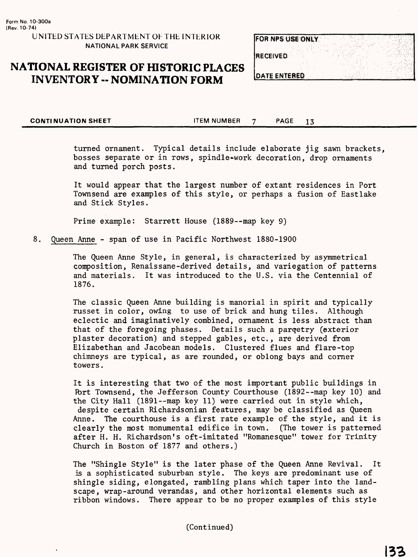# **NATIONAL REGISTER OF HISTORIC PLACES INVENTORY -- NOMINATION FORM**

| FOR NPS USE ONLY     |  |
|----------------------|--|
| <b>RECEIVED</b>      |  |
| <b>IDATE ENTERED</b> |  |

**CONTINUATION SHEET THEM NUMBER 7 PAGE 13** 

turned ornament. Typical details include elaborate jig sawn brackets, bosses separate or in rows, spindle-work decoration, drop ornaments and turned porch posts.

It would appear that the largest number of extant residences in Port Townsend are examples of this style, or perhaps a fusion of Eastlake and Stick Styles.

Prime example: Starrett House (1889--map key 9)

8. Queen Anne - span of use in Pacific Northwest 1880-1900

The Queen Anne Style, in general, is characterized by asymmetrical composition, Renaissane-derived details, and variegation of patterns and materials. It was introduced to the U.S. via the Centennial of 1876.

The classic Queen Anne building is manorial in spirit and typically russet in color, owing to use of brick and hung tiles. Although eclectic and imaginatively combined, ornament is less abstract than that of the foregoing phases. Details such a parqetry (exterior plaster decoration) and stepped gables, etc., are derived from Elizabethan and Jacobean models. Clustered flues and flare-top chimneys are typical, as are rounded, or oblong bays and corner towers.

It is interesting that two of the most important public buildings in Ibrt Townsend, the Jefferson County Courthouse (1892--map key 10) and the City Hall (1891--map key 11) were carried out in style which, despite certain Richardsonian features, may be classified as Queen Anne. The courthouse is a first rate example of the style, and it is clearly the most monumental edifice in town. (The tower is patterned after H. H. Richardson's oft-imitated "Romanesque" tower for Trinity Church in Boston of 1877 and others.)

The "Shingle Style" is the later phase of the Queen Anne Revival. It is a sophisticated suburban style. The keys are predominant use of shingle siding, elongated, rambling plans which taper into the landscape, wrap-around verandas, and other horizontal elements such as ribbon windows. There appear to be no proper examples of this style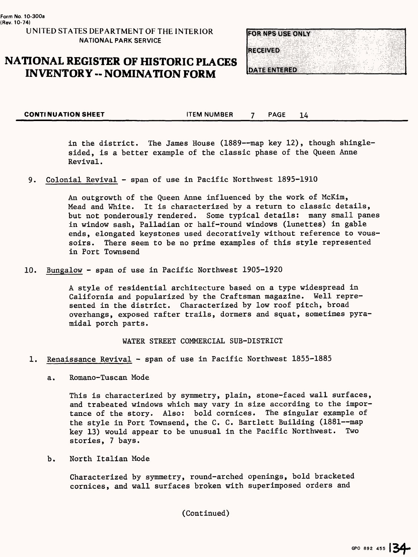# **NATIONAL REGISTER OF HISTORIC PLACES INVENTORY -- NOMINATION FORM**



**CONTINUATION SHEET 14** ITEM NUMBER 7 PAGE 14

in the district. The James House (1889—map key 12), though shinglesided, is a better example of the classic phase of the Queen Anne Revival.

9. Colonial Revival - span of use in Pacific Northwest 1895-1910

An outgrowth of the Queen Anne influenced by the work of McKim, Mead and White. It is characterized by a return to classic details, but not ponderously rendered. Some typical details: many small panes in window sash, Palladian or half-round windows (lunettes) in gable ends, elongated keystones used decoratively without reference to voussoirs. There seem to be no prime examples of this style represented in Port Townsend

10. Bungalow - span of use in Pacific Northwest 1905-1920

A style of residential architecture based on a type widespread in California and popularized by the Craftsman magazine. Well represented in the district. Characterized by low roof pitch, broad overhangs, exposed rafter trails, dormers and squat, sometimes pyramidal porch parts.

WATER STREET COMMERCIAL SUB-DISTRICT

- 1. Renaissance Revival span of use in Pacific Northwest 1855-1885
	- a. Romano-Tuscan Mode

This is characterized by symmetry, plain, stone-faced wall surfaces, and trabeated windows which may vary in size according to the importance of the story. Also: bold cornices. The singular example of the style in Port Townsend, the C. C. Bartlett Building (1881—map key 13) would appear to be unusual in the Pacific Northwest. Two stories, 7 bays.

b. North Italian Mode

Characterized by symmetry, round-arched openings, bold bracketed cornices, and wall surfaces broken with superimposed orders and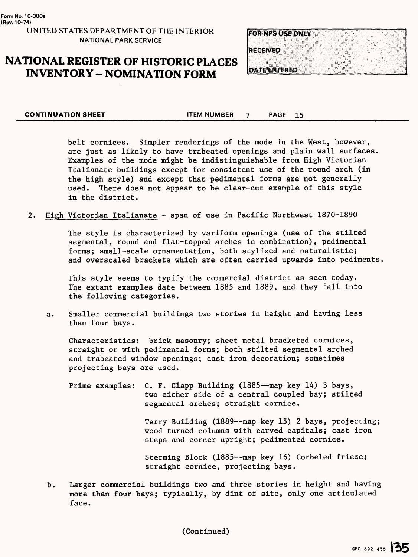# **NATIONAL REGISTER OF HISTORIC PLACES INVENTORY -- NOMINATION FORM**



**CONTINUATION SHEET ITEM NUMBER** 7 PAGE 15

belt cornices. Simpler renderings of the mode in the West, however, are just as likely to have trabeated openings and plain wall surfaces. Examples of the mode might be indistinguishable from High Victorian Italianate buildings except for consistent use of the round arch (in the high style) and except that pedimental forms are not generally used. There does not appear to be clear-cut example of this style in the district.

2. High Victorian Italianate - span of use in Pacific Northwest 1870-1890

The style is characterized by variform openings (use of the stilted segmental, round and flat-topped arches in combination), pedimental forms; small-scale ornamentation, both stylized and naturalistic; and overscaled brackets which are often carried upwards into pediments.

This style seems to typify the commercial district as seen today. The extant examples date between 1885 and 1889, and they fall into the following categories.

a. Smaller commercial buildings two stories in height and having less than four bays.

Characteristics: brick masonry; sheet metal bracketed cornices, straight or with pedimental forms; both stilted segmental arched and trabeated window openings; cast iron decoration; sometimes projecting bays are used.

Prime examples: C. F. Clapp Building (1885—map key 14) 3 bays, two either side of a central coupled bay; stilted segmental arches; straight cornice.

> Terry Building (1889—map key 15) 2 bays, projecting; wood turned columns with carved capitals; cast iron steps and corner upright; pedimented cornice.

Sterming Block (1885—map key 16) Corbeled frieze; straight cornice, projecting bays.

b. Larger commercial buildings two and three stories in height and having more than four bays; typically, by dint of site, only one articulated face.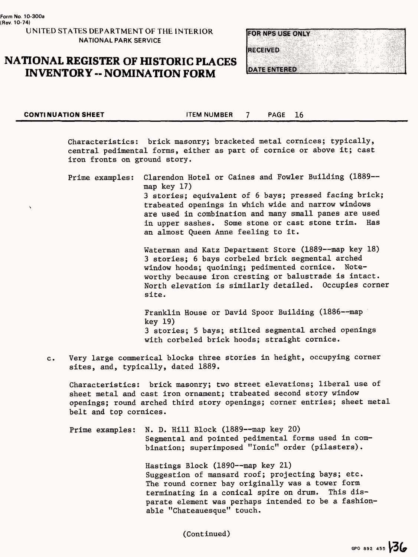# **NATIONAL REGISTER OF HISTORIC PLACES INVENTORY -- NOMINATION FORM**



**CONTINUATION SHEET 42 CONTINUATION SHEET** 

Characteristics: brick masonry; bracketed metal cornices; typically, central pedimental forms, either as part of cornice or above it; cast iron fronts on ground story.

Prime examples: Clarendon Hotel or Caines and Fowler Building (1889-map key 17) 3 stories; equivalent of 6 bays; pressed facing brick; trabeated openings in which wide and narrow windows are used in combination and many small panes are used in upper sashes. Some stone or cast stone trim. Has an almost Queen Anne feeling to it.

> Waterman and Katz Department Store (1889--map key 18) 3 stories; 6 bays corbeled brick segmental arched window hoods; quoining; pedimented cornice. Noteworthy because iron cresting or balustrade is intact. North elevation is similarly detailed. Occupies corner site.

Franklin House or David Spoor Building (1886--map key 19) 3 stories; 5 bays; stilted segmental arched openings with corbeled brick hoods; straight cornice.

c. Very large commerical blocks three stories in height, occupying corner sites, and, typically, dated 1889.

Characteristics: brick masonry; two street elevations; liberal use of sheet metal and cast iron ornament; trabeated second story window openings; round arched third story openings; corner entries; sheet metal belt and top cornices.

Prime examples: N. D. Hill Block (1889--map key 20) Segmental and pointed pedimental forms used in combination; superimposed "Ionic" order (pilasters) .

> Hastings Block (1890--map key 21) Suggestion of mansard roof; projecting bays; etc. The round corner bay originally was a tower form terminating in a conical spire on drum. This disparate element was perhaps intended to be a fashionable "Chateauesque" touch.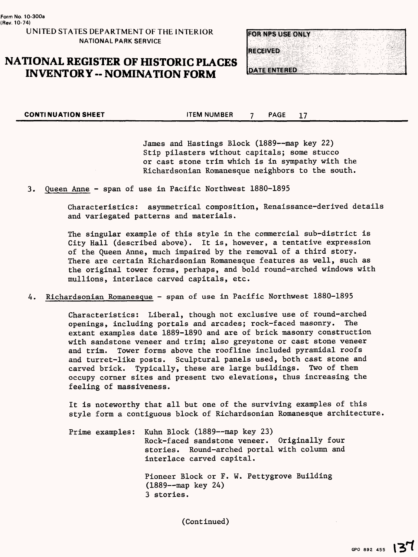### **NATIONAL REGISTER OF HISTORIC PLACES INVENTORY -- NOMINATION FORM**



**CONTINUATION SHEET THEM NUMBER 7 PAGE 17** 

James and Hastings Block (1889--map key 22) Stip pilasters without capitals; some stucco or cast stone trim which is in sympathy with the Richardsonian Romanesque neighbors to the south.

3. Queen Anne - span of use in Pacific Northwest 1880-1895

Characteristics: asymmetrical composition, Renaissance-derived details and variegated patterns and materials.

The singular example of this style in the commercial sub-district is City Hall (described above). It is, however, a tentative expression of the Queen Anne, much impaired by the removal of a third story. There are certain Richardsonian Romanesque features as well, such as the original tower forms, perhaps, and bold round-arched windows with mullions, interlace carved capitals, etc.

4. Richardsonian Romanesque - span of use in Pacific Northwest 1880-1895

Characteristics: Liberal, though not exclusive use of round-arched openings, including portals and arcades; rock-faced masonry. extant examples date 1889-1890 and are of brick masonry construction with sandstone veneer and trim; also greystone or cast stone veneer and trim. Tower forms above the roofline included pyramidal roofs and turret-like posts. Sculptural panels used, both cast stone and carved brick. Typically, these are large buildings. Two of them occupy corner sites and present two elevations, thus increasing the feeling of massiveness.

It is noteworthy that all but one of the surviving examples of this style form a contiguous block of Richardsonian Romanesque architecture.

Prime examples: Kuhn Block (1889--map key 23) Rock-faced sandstone veneer. Originally four stories. Round-arched portal with column and interlace carved capital. Pioneer Block or F. W. Pettygrove Building (1889 – map key 24) 3 stories.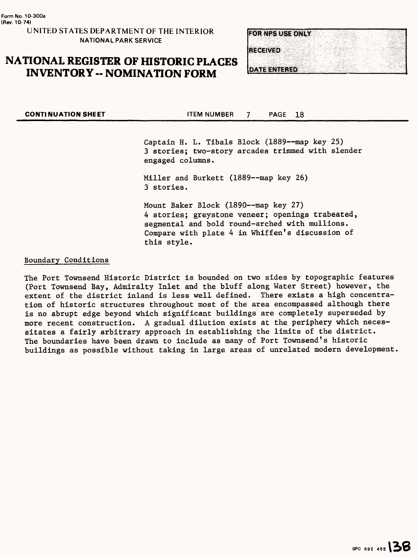# **NATIONAL REGISTER OF HISTORIC PLACES INVENTORY -- NOMINATION FORM**



**CONTINUATION SHEET THEM NUMBER 7 PAGE 18** 

Captain H. L. Tibals Block (1889—map key 25) 3 stories; two-story arcades trimmed with slender engaged columns.

Miller and Burkett (1889—map key 26) 3 stories.

Mount Baker Block (1890—map key 27) 4 stories; greystone veneer; openings trabeated, segmental and bold round-arched with mullions. Compare with plate 4 in Whiffen's discussion of this style.

#### Boundary Conditions

The Port Townsend Historic District is bounded on two sides by topographic features (Port Townsend Bay, Admiralty Inlet and the bluff along Water Street) however, the extent of the district inland is less well defined. There exists a high concentration of historic structures throughout most of the area encompassed although there is no abrupt edge beyond which significant buildings are completely superseded by more recent construction. A gradual dilution exists at the periphery which necessitates a fairly arbitrary approach in establishing the limits of the district. The boundaries have been drawn to include as many of Port Townsend's historic buildings as possible without taking in large areas of unrelated modern development,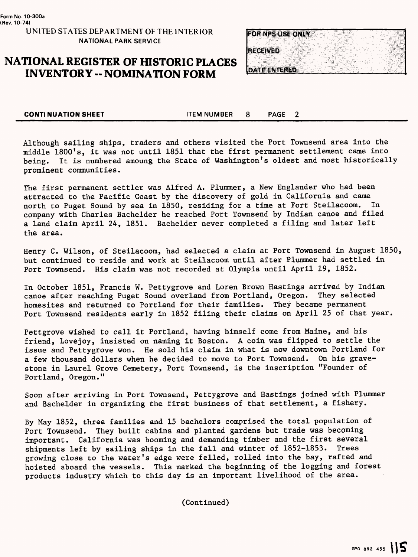# **NATIONAL REGISTER OF HISTORIC PLACES INVENTORY -- NOMINATION FORM**



**CONTINUATION SHEET** ITEM NUMBER 8 PAGE 2

Although sailing ships, traders and others visited the Port Townsend area into the middle 1800\*s, it was not until 1851 that the first permanent settlement came into being. It is numbered amoung the State of Washington's oldest and most historically prominent communities.

The first permanent settler was Alfred A. Plummer, a New Englander who had been attracted to the Pacific Coast by the discovery of gold in California and came north to Puget Sound by sea in 1850, residing for a time at Fort Steilacoom. In company with Charles Bachelder he reached Port Townsend by Indian canoe and filed a land claim April 24, 1851. Bachelder never completed a filing and later left the area.

Henry C. Wilson, of Steilacoom, had selected a claim at Port Townsend in August 1850, but continued to reside and work at Steilacoom until after Plummer had settled in Port Townsend. His claim was not recorded at Olympia until April 19, 1852.

In October 1851, Francis W. Pettygrove and Loren Brown Hastings arrived by Indian canoe after reaching Puget Sound overland from Portland, Oregon. They selected homesites and returned to Portland for their families. They became permanent Port Townsend residents early in 1852 filing their claims on April 25 of that year.

Pettgrove wished to call it Portland, having himself come from Maine, and his friend, Lovejoy, insisted on naming it Boston. A coin was flipped to settle the issue and Pettygrove won. He sold his claim in what is now downtown Portland for a few thousand dollars when he decided to move to Port Townsend. On his gravestone in Laurel Grove Cemetery, Port Townsend, is the inscription "Founder of Portland, Oregon."

Soon after arriving in Port Townsend, Pettygrove and Hastings joined with Plummer and Bachelder in organizing the first business of that settlement, a fishery.

By May 1852, three families and 15 bachelors comprised the total population of Port Townsend. They built cabins and planted gardens but trade was becoming important. California was booming and demanding timber and the first several shipments left by sailing ships in the fall and winter of 1852-1853. Trees growing close to the water's edge were felled, rolled into the bay, rafted and hoisted aboard the vessels. This marked the beginning of the logging and forest products industry which to this day is an important livelihood of the area.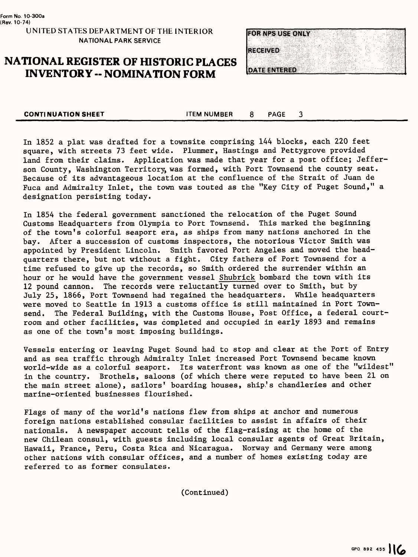# **NATIONAL REGISTER OF HISTORIC PLACES INVENTORY -- NOMINATION FORM**



**CONTINUATION SHEET** THEM NUMBER 8 PAGE 3

In 1852 a plat was drafted for a townsite comprising 144 blocks, each 220 feet square, with streets 73 feet wide. Plummer, Hastings and Pettygrove provided land from their claims. Application was made that year for a post office; Jefferson County, Washington Territory, was formed, with Port Townsend the county seat. Because of its advantageous location at the confluence of the Strait of Juan de Fuca and Admiralty Inlet, the town was touted as the "Key City of Puget Sound," a designation persisting today.

In 1854 the federal government sanctioned the relocation of the Puget Sound<br>Customs Headquarters from Olympia to Port Townsend. This marked the beginning Customs Headquarters from Olympia to Port Townsend. of the town's colorful seaport era, as ships from many nations anchored in the bay. After a succession of customs inspectors, the notorious Victor Smith was appointed by President Lincoln. Smith favored Port Angeles and moved the headquarters there, but not without a fight. City fathers of Port Townsend for a time refused to give up the records, so Smith ordered the surrender within an hour or he would have the government vessel Shubrick bombard the town with its 12 pound cannon. The records were reluctantly turned over to Smith, but by July 25, 1866, Port Townsend had regained the headquarters. While headquarters were moved to Seattle in 1913 a customs office is still maintained in Port Townsend. The Federal Building, with the Customs House, Post Office, a federal courtroom and other facilities, was completed and occupied in early 1893 and remains as one of the town's most imposing buildings.

Vessels entering or leaving Puget Sound had to stop and clear at the Port of Entry and as sea traffic through Admiralty Inlet increased Port Townsend became known world-wide as a colorful seaport. Its waterfront was known as one of the "wildest" in the country. Brothels, saloons (of which there were reputed to have been 21 on the main street alone), sailors' boarding houses, ship's chandleries and other marine-oriented businesses flourished.

Flags of many of the world's nations flew from ships at anchor and numerous foreign nations established consular facilities to assist in affairs of their nationals. A newspaper account tells of the flag-raising at the home of the new Chilean consul, with guests including local consular agents of Great Britain, Hawaii, France, Peru, Costa Rica and Nicaragua. Norway and Germany were among other nations with consular offices, and a number of homes existing today are referred to as former consulates.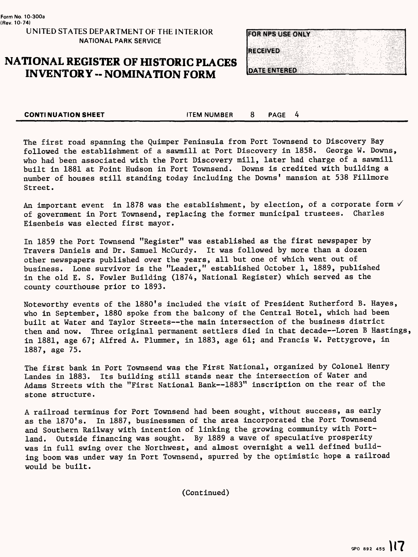# **NATIONAL REGISTER OF HISTORIC PLACES INVENTORY -- NOMINATION FORM**



**CONTINUATION SHEET** TEM NUMBER 8 PAGE 4

The first road spanning the Quimper Peninsula from Port Townsend to Discovery Bay followed the establishment of a sawmill at Port Discovery in 1858. George W. Downs, who had been associated with the Port Discovery mill, later had charge of a sawmill built in 1881 at Point Hudson in Port Townsend. Downs is credited with building a number of houses still standing today including the Downs' mansion at 538 Fillmore Street.

An important event in 1878 was the establishment, by election, of a corporate form  $\sqrt{ }$ of government in Port Townsend, replacing the former municipal trustees. Charles Eisenbeis was elected first mayor.

In 1859 the Port Townsend "Register" was established as the first newspaper by Travers Daniels and Dr. Samuel McCurdy. It was followed by more than a dozen other newspapers published over the years, all but one of which went out of business. Lone survivor is the "Leader," established October 1, 1889, published in the old E. S. Fowler Building (1874, National Register) which served as the county courthouse prior to 1893.

Noteworthy events of the 1880's included the visit of President Rutherford B. Hayes, who in September, 1880 spoke from the balcony of the Central Hotel, which had been built at Water and Taylor Streets—the main intersection of the business district then and now. Three original permanent settlers died in that decade—Loren B Hastings, in 1881, age 67; Alfred A. Plummer, in 1883, age 61; and Francis W. Pettygrove, in 1887, age 75.

The first bank in Port Townsend was the First National, organized by Colonel Henry Landes in 1883. Its building still stands near the intersection of Water and Adams Streets with the "First National Bank—1883" inscription on the rear of the stone structure.

A railroad terminus for Port Townsend had been sought, without success, as early as the 1870's. In 1887, businessmen of the area incorporated the Port Townsend and Southern Railway with intention of linking the growing community with Portland. Outside financing was sought. By 1889 a wave of speculative prosperity was in full swing over the Northwest, and almost overnight a well defined building boom was under way in Port Townsend, spurred by the optimistic hope a railroad would be built.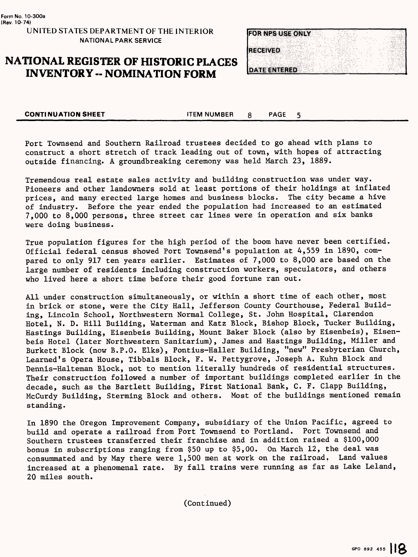# **NATIONAL REGISTER OF HISTORIC PLACES INVENTORY -- NOMINATION FORM**



5

**CONTINUATION SHEET ITEM NUMBER** 8 PAGE

Port Townsend and Southern Railroad trustees decided to go ahead with plans to construct a short stretch of track leading out of town, with hopes of attracting outside financing. A groundbreaking ceremony was held March 23, 1889.

Tremendous real estate sales activity and building construction was under way. Pioneers and other landowners sold at least portions of their holdings at inflated prices, and many erected large homes and business blocks. The city became a hive of industry. Before the year ended the population had increased to an estimated 7,000 to 8,000 persons, three street car lines were in operation and six banks were doing business.

True population figures for the high period of the boom have never been certified. Official federal census showed Port Townsend's population at 4,559 in 1890, compared to only 917 ten years earlier. Estimates of 7,000 to 8,000 are based on the large number of residents including construction workers, speculators, and others who lived here a short time before their good fortune ran out.

All under construction simultaneously, or within a short time of each other, most in brick or stone, were the City Hall, Jefferson County Courthouse, Federal Building, Lincoln School, Northwestern Normal College, St. John Hospital, Clarendon Hotel, N. D. Hill Building, Waterman and Katz Block, Bishop Block, Tucker Building, Hastings Building, Eisenbeis Building, Mount Baker Block (also by Eisenbeis), Eisenbeis Hotel (later Northwestern Sanitarium), James and Hastings Building, Miller and Burkett Block (now B.P.O. Elks), Pontius-Haller Building, "new" Presbyterian Church, Learned's Opera House, Tibbals Block, F. W. Pettygrove, Joseph A. Kuhn Block and Dennis-Halteman Block, not to mention literally hundreds of residential structures. Their construction followed a number of important buildings completed earlier in the decade, such as the Bartlett Building, First National Bank, C. F. Clapp Building, McCurdy Building, Sterming Block and others. Most of the buildings mentioned remain standing.

In 1890 the Oregon Improvement Company, subsidiary of the Union Pacific, agreed to build and operate a railroad from Port Townsend to Portland. Port Townsend and Southern trustees transferred their franchise and in addition raised a \$100,000 bonus in subscriptions ranging from \$50 up to \$5,00. On March 12, the deal was consummated and by May there were 1,500 men at work on the railroad. Land values increased at a phenomenal rate. By fall trains were running as far as Lake Leland, 20 miles south.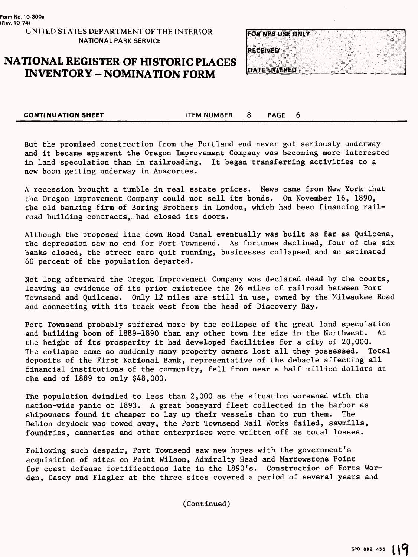# **NATIONAL REGISTER OF HISTORIC PLACES INVENTORY - NOMINATION FORM**



**CONTINUATION SHEET THEM NUMBER 8 PAGE** 6

But the promised construction from the Portland end never got seriously underway and it became apparent the Oregon Improvement Company was becoming more interested in land speculation than in railroading. It began transferring activities to a new boom getting underway in Anacortes.

A recession brought a tumble in real estate prices. News came from New York that the Oregon Improvement Company could not sell its bonds. On November 16, 1890, the old banking firm of Baring Brothers in London, which had been financing railroad building contracts, had closed its doors.

Although the proposed line down Hood Canal eventually was built as far as Quilcene, the depression saw no end for Port Townsend. As fortunes declined, four of the six banks closed, the street cars quit running, businesses collapsed and an estimated 60 percent of the population departed.

Not long afterward the Oregon Improvement Company was declared dead by the courts, leaving as evidence of its prior existence the 26 miles of railroad between Port Townsend and Quilcene. Only 12 miles are still in use, owned by the Milwaukee Road and connecting with its track west from the head of Discovery Bay.

Port Townsend probably suffered more by the collapse of the great land speculation and building boom of 1889-1890 than any other town its size in the Northwest. At the height of its prosperity it had developed facilities for a city of 20,000. The collapse came so suddenly many property owners lost all they possessed. Total deposits of the First National Bank, representative of the debacle affecting all financial institutions of the community, fell from near a half million dollars at the end of 1889 to only \$48,000.

The population dwindled to less than 2,000 as the situation worsened with the nation-wide panic of 1893. A great boneyard fleet collected in the harbor as shipowners found it cheaper to lay up their vessels than to run them. The DeLion drydock was towed away, the Port Townsend Nail Works failed, sawmills, foundries, canneries and other enterprises were written off as total losses.

Following such despair, Port Townsend saw new hopes with the government's acquisition of sites on Point Wilson, Admiralty Head and Marrowstone Point for coast defense fortifications late in the 1890's. Construction of Forts Worden, Casey and Flagler at the three sites covered a period of several years and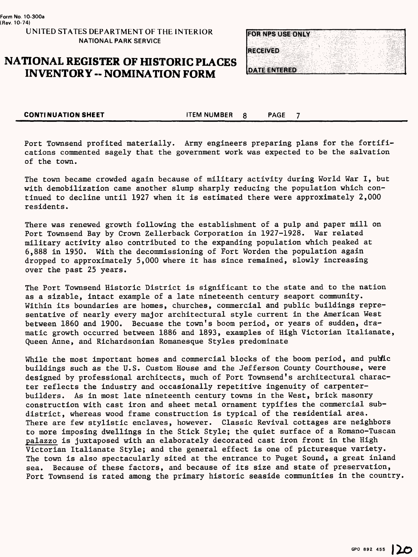## **NATIONAL REGISTER OF HISTORIC PLACES INVENTORY -- NOMINATION FORM**



 $\overline{7}$ 

**CONTINUATION SHEET ITEM NUMBER 8** PAGE

Port Townsend profited materially. Army engineers preparing plans for the fortifications commented sagely that the government work was expected to be the salvation of the town.

The town became crowded again because of military activity during World War I, but with demobilization came another slump sharply reducing the population which continued to decline until 1927 when it is estimated there were approximately 2,000 residents.

There was renewed growth following the establishment of a pulp and paper mill on Port Townsend Bay by Crown Zellerback Corporation in 1927-1928. War related military activity also contributed to the expanding population which peaked at 6,888 in 1950. With the decommissioning of Fort Worden the population again dropped to approximately 5,000 where it has since remained, slowly increasing over the past 25 years.

The Port Townsend Historic District is significant to the state and to the nation as a sizable, intact example of a late nineteenth century seaport community. Within its boundaries are homes, churches, commercial and public buildings representative of nearly every major architectural style current in the American West between 1860 and 1900. Becuase the town's boom period, or years of sudden, dramatic growth occurred between 1886 and 1893, examples of High Victorian Italianate, Queen Anne, and Richardsonian Romanesque Styles predominate

While the most important homes and commercial blocks of the boom period, and public buildings such as the U.S. Custom House and the Jefferson County Courthouse, were designed by professional architects, much of Port Townsend's architectural character reflects the industry and occasionally repetitive ingenuity of carpenterbuilders. As in most late nineteenth century towns in the West, brick masonry construction with cast iron and sheet metal ornament typifies the commercial subdistrict, whereas wood frame construction is typical of the residential area. There are few stylistic enclaves, however. Classic Revival cottages are neighbors to more imposing dwellings in the Stick Style; the quiet surface of a Romano-Tuscan palazzo is juxtaposed with an elaborately decorated cast iron front in the High Victorian Italianate Style; and the general effect is one of picturesque variety. The town is also spectacularly sited at the entrance to Puget Sound, a great inland sea. Because of these factors, and because of its size and state of preservation, Port Townsend is rated among the primary historic seaside communities in the country,